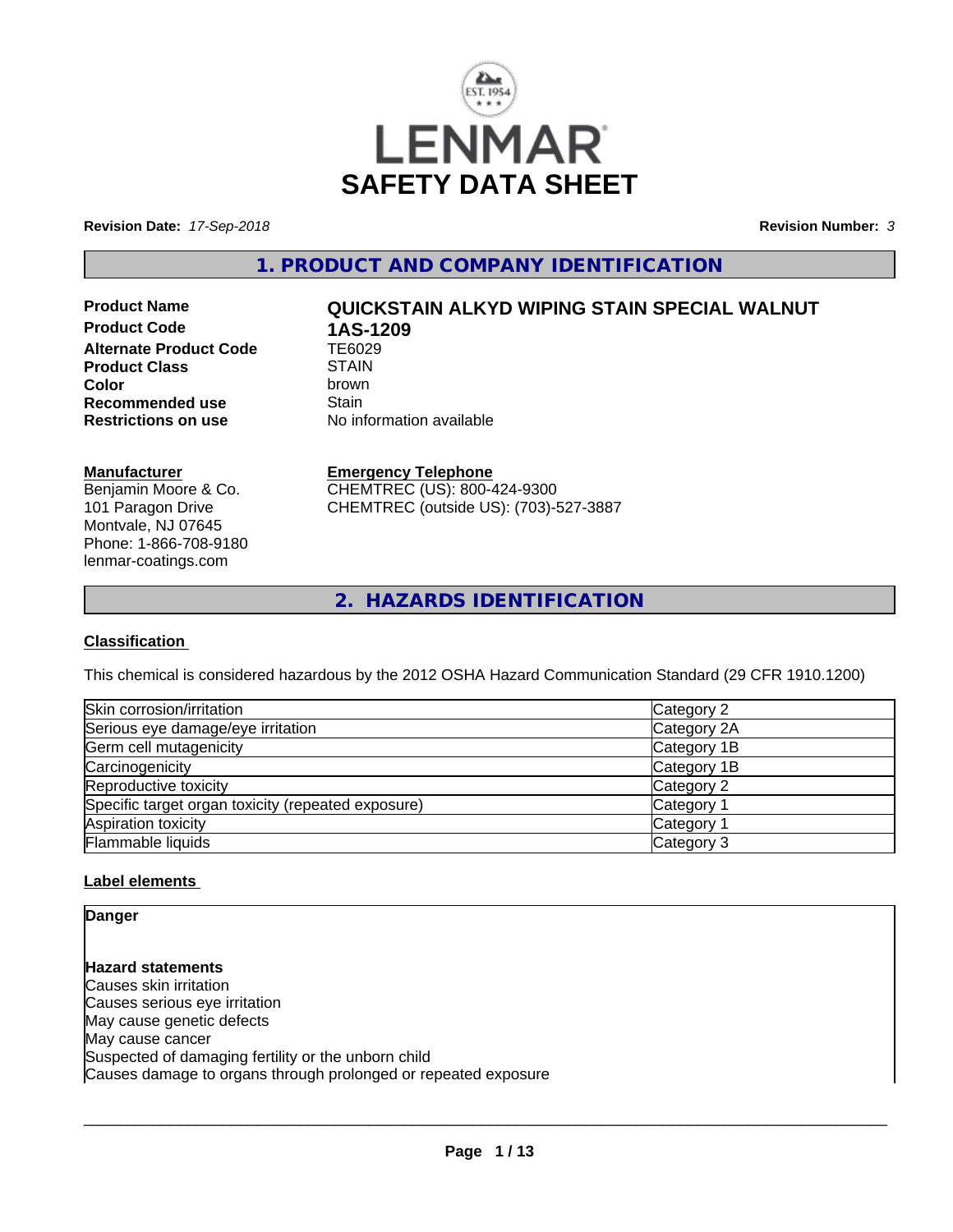

**Revision Date:** *17-Sep-2018* **Revision Number:** *3*

**1. PRODUCT AND COMPANY IDENTIFICATION**

**Product Code 1AS-1209**<br>Alternate Product Code 1E6029 **Alternate Product Code Product Class** STAIN<br> **Color** brown **Recommended use** Stain<br> **Restrictions on use** No inf

# **Product Name QUICKSTAIN ALKYD WIPING STAIN SPECIAL WALNUT**

**Color** brown **No information available** 

#### **Manufacturer**

Benjamin Moore & Co. 101 Paragon Drive Montvale, NJ 07645 Phone: 1-866-708-9180 lenmar-coatings.com

### **Emergency Telephone**

CHEMTREC (US): 800-424-9300 CHEMTREC (outside US): (703)-527-3887

**2. HAZARDS IDENTIFICATION**

### **Classification**

This chemical is considered hazardous by the 2012 OSHA Hazard Communication Standard (29 CFR 1910.1200)

| Skin corrosion/irritation                          | Category 2  |
|----------------------------------------------------|-------------|
| Serious eye damage/eye irritation                  | Category 2A |
| Germ cell mutagenicity                             | Category 1B |
| Carcinogenicity                                    | Category 1B |
| Reproductive toxicity                              | Category 2  |
| Specific target organ toxicity (repeated exposure) | Category 1  |
| Aspiration toxicity                                | Category 1  |
| Flammable liquids                                  | Category 3  |

### **Label elements**

**Danger**

**Hazard statements** Causes skin irritation Causes serious eye irritation May cause genetic defects May cause cancer Suspected of damaging fertility or the unborn child Causes damage to organs through prolonged or repeated exposure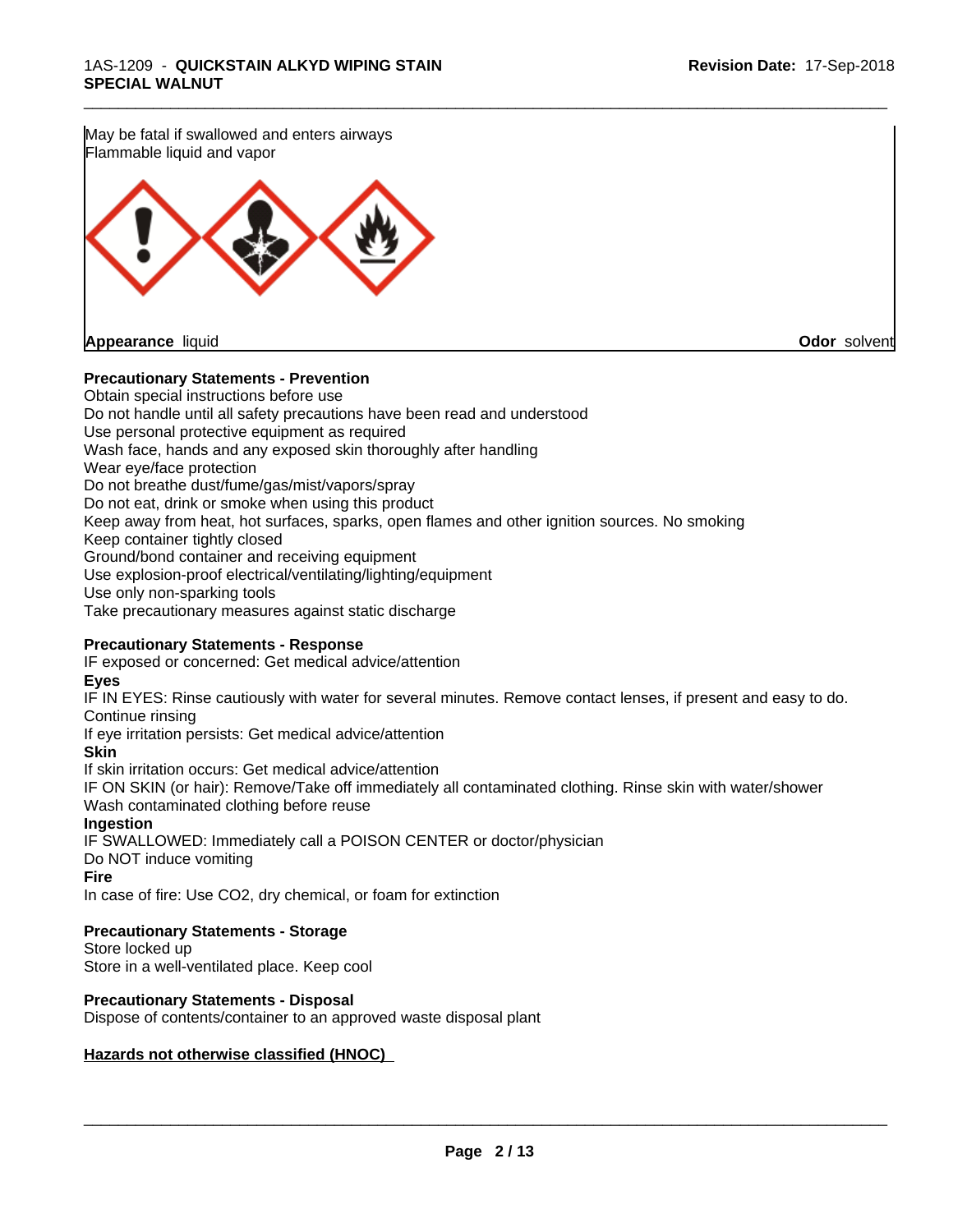May be fatal if swallowed and enters airways Flammable liquid and vapor



**Appearance** liquid **Odor** solvent

#### **Precautionary Statements - Prevention**

Obtain special instructions before use Do not handle until all safety precautions have been read and understood Use personal protective equipment as required Wash face, hands and any exposed skin thoroughly after handling Wear eye/face protection Do not breathe dust/fume/gas/mist/vapors/spray Do not eat, drink or smoke when using this product Keep away from heat, hot surfaces, sparks, open flames and other ignition sources. No smoking Keep container tightly closed Ground/bond container and receiving equipment Use explosion-proof electrical/ventilating/lighting/equipment Use only non-sparking tools Take precautionary measures against static discharge

\_\_\_\_\_\_\_\_\_\_\_\_\_\_\_\_\_\_\_\_\_\_\_\_\_\_\_\_\_\_\_\_\_\_\_\_\_\_\_\_\_\_\_\_\_\_\_\_\_\_\_\_\_\_\_\_\_\_\_\_\_\_\_\_\_\_\_\_\_\_\_\_\_\_\_\_\_\_\_\_\_\_\_\_\_\_\_\_\_\_\_\_\_

### **Precautionary Statements - Response**

IF exposed or concerned: Get medical advice/attention

#### **Eyes**

IF IN EYES: Rinse cautiously with water for several minutes. Remove contact lenses, if present and easy to do. Continue rinsing

If eye irritation persists: Get medical advice/attention

#### **Skin**

If skin irritation occurs: Get medical advice/attention

IF ON SKIN (or hair): Remove/Take off immediately all contaminated clothing. Rinse skin with water/shower Wash contaminated clothing before reuse

### **Ingestion**

IF SWALLOWED: Immediately call a POISON CENTER or doctor/physician Do NOT induce vomiting

#### **Fire**

In case of fire: Use CO2, dry chemical, or foam for extinction

### **Precautionary Statements - Storage**

Store locked up Store in a well-ventilated place. Keep cool

# **Precautionary Statements - Disposal**

Dispose of contents/container to an approved waste disposal plant

### **Hazards not otherwise classified (HNOC)**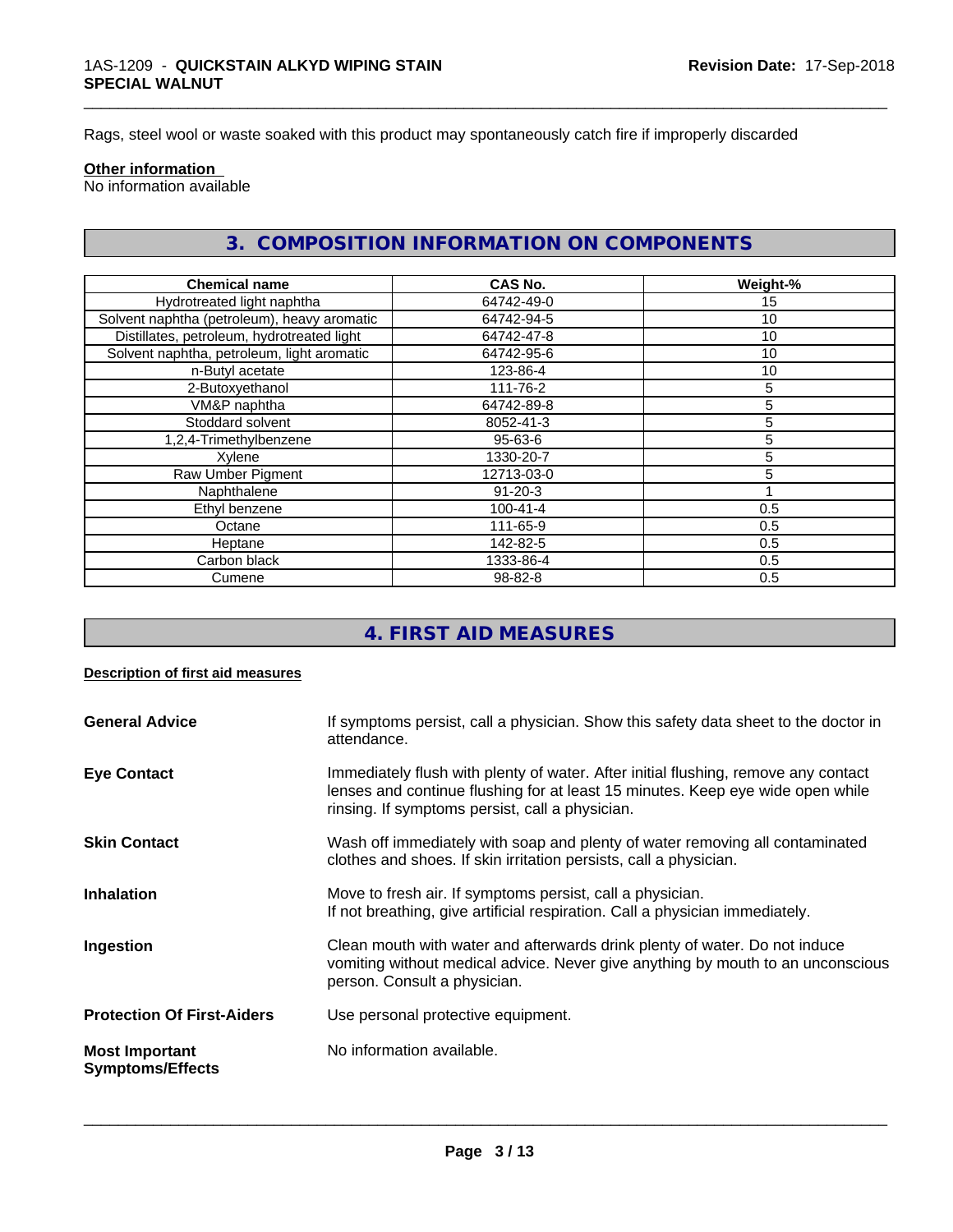Rags, steel wool or waste soaked with this product may spontaneously catch fire if improperly discarded

#### **Other information**

No information available

# **3. COMPOSITION INFORMATION ON COMPONENTS**

\_\_\_\_\_\_\_\_\_\_\_\_\_\_\_\_\_\_\_\_\_\_\_\_\_\_\_\_\_\_\_\_\_\_\_\_\_\_\_\_\_\_\_\_\_\_\_\_\_\_\_\_\_\_\_\_\_\_\_\_\_\_\_\_\_\_\_\_\_\_\_\_\_\_\_\_\_\_\_\_\_\_\_\_\_\_\_\_\_\_\_\_\_

| <b>Chemical name</b>                        | <b>CAS No.</b> | Weight-% |
|---------------------------------------------|----------------|----------|
| Hydrotreated light naphtha                  | 64742-49-0     | 15       |
| Solvent naphtha (petroleum), heavy aromatic | 64742-94-5     | 10       |
| Distillates, petroleum, hydrotreated light  | 64742-47-8     | 10       |
| Solvent naphtha, petroleum, light aromatic  | 64742-95-6     | 10       |
| n-Butyl acetate                             | 123-86-4       | 10       |
| 2-Butoxyethanol                             | 111-76-2       | 5        |
| VM&P naphtha                                | 64742-89-8     | 5        |
| Stoddard solvent                            | 8052-41-3      | 5        |
| 1,2,4-Trimethylbenzene                      | 95-63-6        | 5        |
| Xylene                                      | 1330-20-7      | 5        |
| Raw Umber Pigment                           | 12713-03-0     | 5        |
| Naphthalene                                 | $91 - 20 - 3$  |          |
| Ethyl benzene                               | $100 - 41 - 4$ | 0.5      |
| Octane                                      | 111-65-9       | 0.5      |
| Heptane                                     | 142-82-5       | 0.5      |
| Carbon black                                | 1333-86-4      | 0.5      |
| Cumene                                      | $98 - 82 - 8$  | 0.5      |

# **4. FIRST AID MEASURES**

#### **Description of first aid measures**

| <b>General Advice</b>                            | If symptoms persist, call a physician. Show this safety data sheet to the doctor in<br>attendance.                                                                                                                      |
|--------------------------------------------------|-------------------------------------------------------------------------------------------------------------------------------------------------------------------------------------------------------------------------|
| <b>Eye Contact</b>                               | Immediately flush with plenty of water. After initial flushing, remove any contact<br>lenses and continue flushing for at least 15 minutes. Keep eye wide open while<br>rinsing. If symptoms persist, call a physician. |
| <b>Skin Contact</b>                              | Wash off immediately with soap and plenty of water removing all contaminated<br>clothes and shoes. If skin irritation persists, call a physician.                                                                       |
| <b>Inhalation</b>                                | Move to fresh air. If symptoms persist, call a physician.<br>If not breathing, give artificial respiration. Call a physician immediately.                                                                               |
| Ingestion                                        | Clean mouth with water and afterwards drink plenty of water. Do not induce<br>vomiting without medical advice. Never give anything by mouth to an unconscious<br>person. Consult a physician.                           |
| <b>Protection Of First-Aiders</b>                | Use personal protective equipment.                                                                                                                                                                                      |
| <b>Most Important</b><br><b>Symptoms/Effects</b> | No information available.                                                                                                                                                                                               |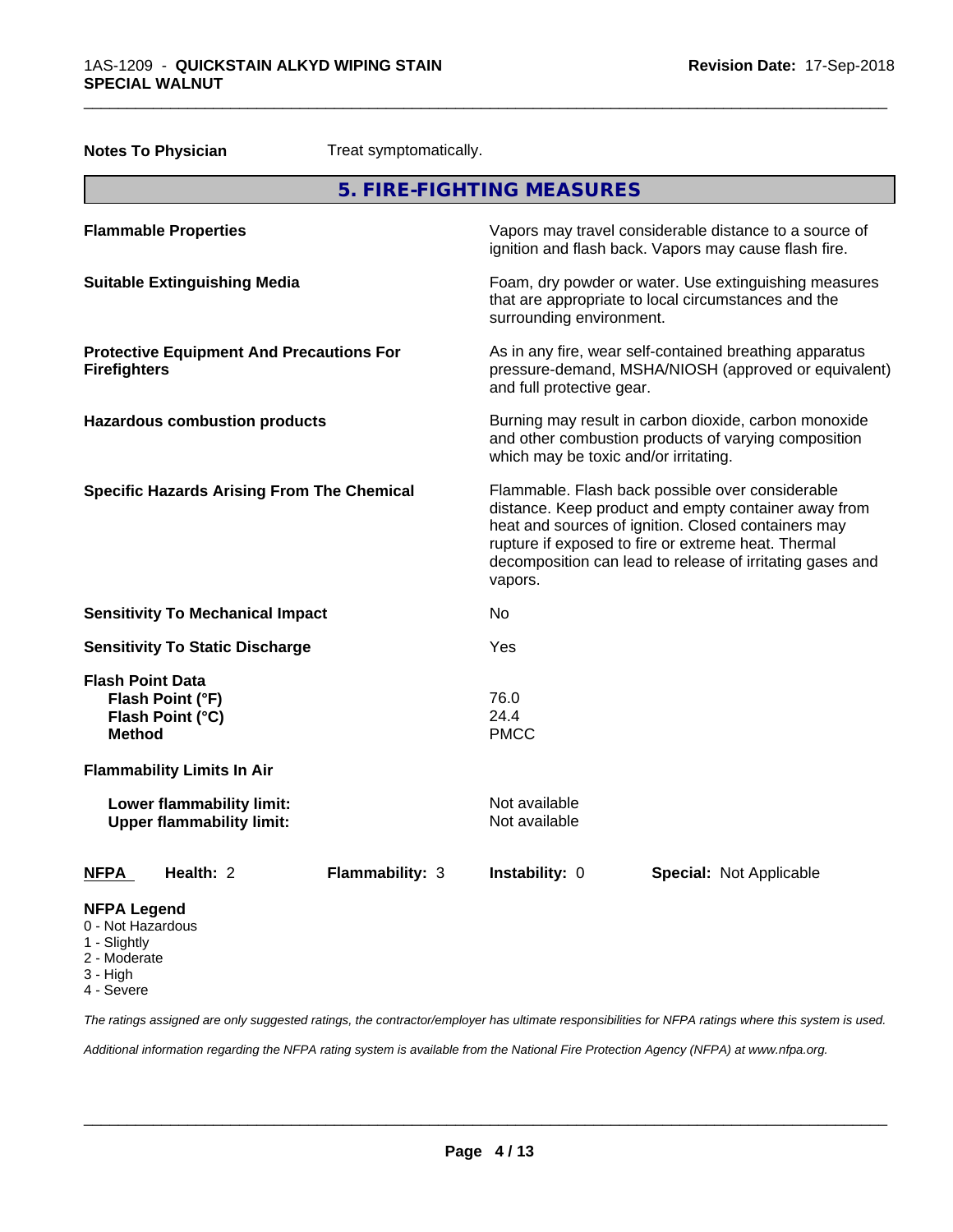3 - High 4 - Severe

|                                                                         | <b>Notes To Physician</b>                                       | Treat symptomatically.                                                                                                                                                                                                                                                                         |                                                                                                                                                        |                                |  |  |
|-------------------------------------------------------------------------|-----------------------------------------------------------------|------------------------------------------------------------------------------------------------------------------------------------------------------------------------------------------------------------------------------------------------------------------------------------------------|--------------------------------------------------------------------------------------------------------------------------------------------------------|--------------------------------|--|--|
|                                                                         |                                                                 |                                                                                                                                                                                                                                                                                                | 5. FIRE-FIGHTING MEASURES                                                                                                                              |                                |  |  |
| <b>Flammable Properties</b>                                             |                                                                 | Vapors may travel considerable distance to a source of<br>ignition and flash back. Vapors may cause flash fire.                                                                                                                                                                                |                                                                                                                                                        |                                |  |  |
| <b>Suitable Extinguishing Media</b>                                     |                                                                 | Foam, dry powder or water. Use extinguishing measures<br>that are appropriate to local circumstances and the<br>surrounding environment.                                                                                                                                                       |                                                                                                                                                        |                                |  |  |
| <b>Protective Equipment And Precautions For</b><br><b>Firefighters</b>  |                                                                 |                                                                                                                                                                                                                                                                                                | As in any fire, wear self-contained breathing apparatus<br>pressure-demand, MSHA/NIOSH (approved or equivalent)<br>and full protective gear.           |                                |  |  |
| <b>Hazardous combustion products</b>                                    |                                                                 |                                                                                                                                                                                                                                                                                                | Burning may result in carbon dioxide, carbon monoxide<br>and other combustion products of varying composition<br>which may be toxic and/or irritating. |                                |  |  |
| <b>Specific Hazards Arising From The Chemical</b>                       |                                                                 | Flammable. Flash back possible over considerable<br>distance. Keep product and empty container away from<br>heat and sources of ignition. Closed containers may<br>rupture if exposed to fire or extreme heat. Thermal<br>decomposition can lead to release of irritating gases and<br>vapors. |                                                                                                                                                        |                                |  |  |
|                                                                         | <b>Sensitivity To Mechanical Impact</b>                         |                                                                                                                                                                                                                                                                                                | No                                                                                                                                                     |                                |  |  |
| <b>Sensitivity To Static Discharge</b>                                  |                                                                 | Yes                                                                                                                                                                                                                                                                                            |                                                                                                                                                        |                                |  |  |
| <b>Method</b>                                                           | <b>Flash Point Data</b><br>Flash Point (°F)<br>Flash Point (°C) |                                                                                                                                                                                                                                                                                                | 76.0<br>24.4<br><b>PMCC</b>                                                                                                                            |                                |  |  |
|                                                                         | <b>Flammability Limits In Air</b>                               |                                                                                                                                                                                                                                                                                                |                                                                                                                                                        |                                |  |  |
| Lower flammability limit:<br><b>Upper flammability limit:</b>           |                                                                 | Not available<br>Not available                                                                                                                                                                                                                                                                 |                                                                                                                                                        |                                |  |  |
| <b>NFPA</b>                                                             | Health: 2                                                       | Flammability: 3                                                                                                                                                                                                                                                                                | Instability: 0                                                                                                                                         | <b>Special: Not Applicable</b> |  |  |
| <b>NFPA Legend</b><br>0 - Not Hazardous<br>1 - Slightly<br>2 - Moderate |                                                                 |                                                                                                                                                                                                                                                                                                |                                                                                                                                                        |                                |  |  |

\_\_\_\_\_\_\_\_\_\_\_\_\_\_\_\_\_\_\_\_\_\_\_\_\_\_\_\_\_\_\_\_\_\_\_\_\_\_\_\_\_\_\_\_\_\_\_\_\_\_\_\_\_\_\_\_\_\_\_\_\_\_\_\_\_\_\_\_\_\_\_\_\_\_\_\_\_\_\_\_\_\_\_\_\_\_\_\_\_\_\_\_\_

*The ratings assigned are only suggested ratings, the contractor/employer has ultimate responsibilities for NFPA ratings where this system is used.*

*Additional information regarding the NFPA rating system is available from the National Fire Protection Agency (NFPA) at www.nfpa.org.*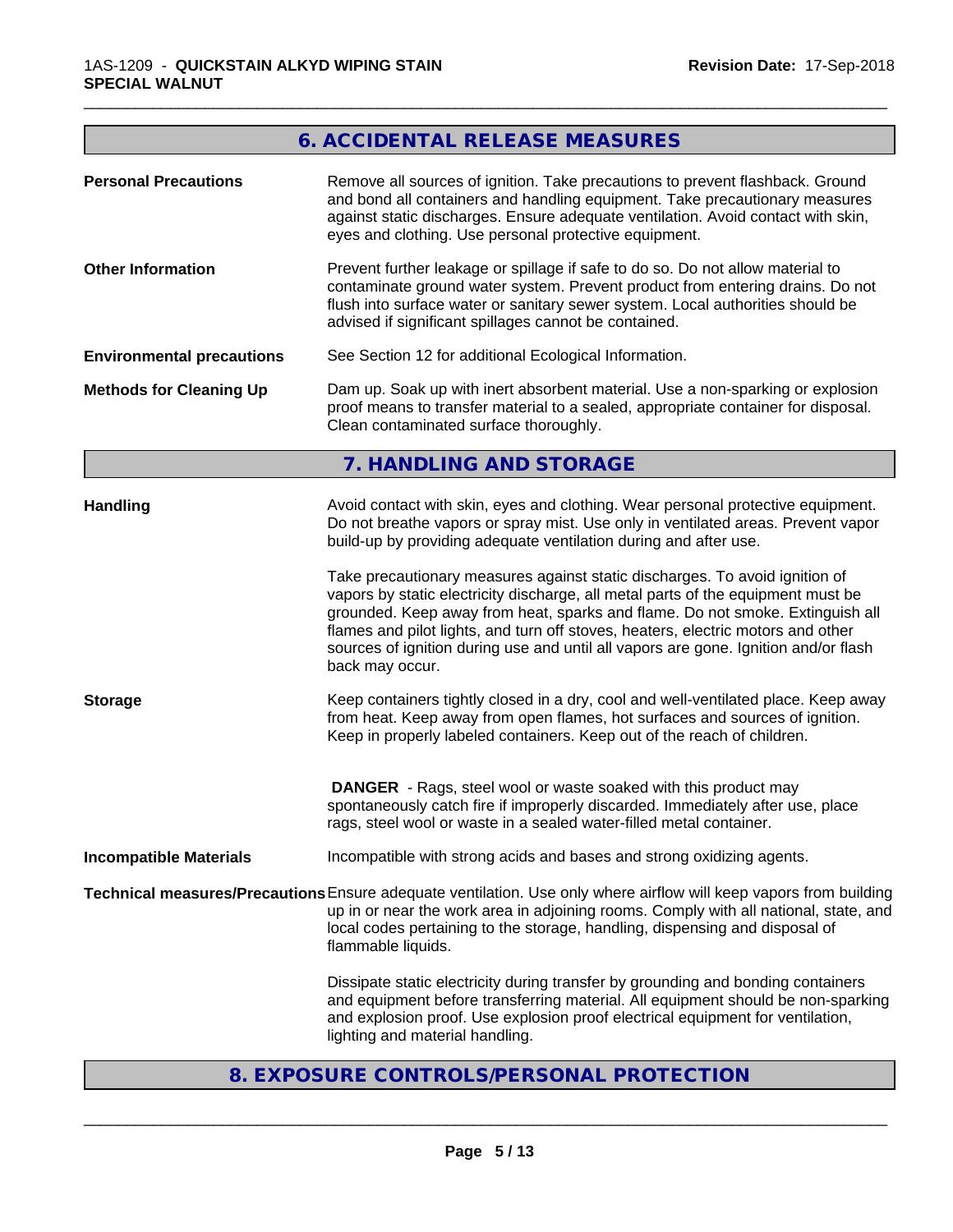# **6. ACCIDENTAL RELEASE MEASURES**

\_\_\_\_\_\_\_\_\_\_\_\_\_\_\_\_\_\_\_\_\_\_\_\_\_\_\_\_\_\_\_\_\_\_\_\_\_\_\_\_\_\_\_\_\_\_\_\_\_\_\_\_\_\_\_\_\_\_\_\_\_\_\_\_\_\_\_\_\_\_\_\_\_\_\_\_\_\_\_\_\_\_\_\_\_\_\_\_\_\_\_\_\_

| <b>Personal Precautions</b>       | Remove all sources of ignition. Take precautions to prevent flashback. Ground<br>and bond all containers and handling equipment. Take precautionary measures<br>against static discharges. Ensure adequate ventilation. Avoid contact with skin,<br>eyes and clothing. Use personal protective equipment.                                                                                                                                                                                                                                                                                                                                                                                                                                                                                                                                                                                                                                  |
|-----------------------------------|--------------------------------------------------------------------------------------------------------------------------------------------------------------------------------------------------------------------------------------------------------------------------------------------------------------------------------------------------------------------------------------------------------------------------------------------------------------------------------------------------------------------------------------------------------------------------------------------------------------------------------------------------------------------------------------------------------------------------------------------------------------------------------------------------------------------------------------------------------------------------------------------------------------------------------------------|
| <b>Other Information</b>          | Prevent further leakage or spillage if safe to do so. Do not allow material to<br>contaminate ground water system. Prevent product from entering drains. Do not<br>flush into surface water or sanitary sewer system. Local authorities should be<br>advised if significant spillages cannot be contained.                                                                                                                                                                                                                                                                                                                                                                                                                                                                                                                                                                                                                                 |
| <b>Environmental precautions</b>  | See Section 12 for additional Ecological Information.                                                                                                                                                                                                                                                                                                                                                                                                                                                                                                                                                                                                                                                                                                                                                                                                                                                                                      |
| <b>Methods for Cleaning Up</b>    | Dam up. Soak up with inert absorbent material. Use a non-sparking or explosion<br>proof means to transfer material to a sealed, appropriate container for disposal.<br>Clean contaminated surface thoroughly.                                                                                                                                                                                                                                                                                                                                                                                                                                                                                                                                                                                                                                                                                                                              |
|                                   | 7. HANDLING AND STORAGE                                                                                                                                                                                                                                                                                                                                                                                                                                                                                                                                                                                                                                                                                                                                                                                                                                                                                                                    |
| <b>Handling</b><br><b>Storage</b> | Avoid contact with skin, eyes and clothing. Wear personal protective equipment.<br>Do not breathe vapors or spray mist. Use only in ventilated areas. Prevent vapor<br>build-up by providing adequate ventilation during and after use.<br>Take precautionary measures against static discharges. To avoid ignition of<br>vapors by static electricity discharge, all metal parts of the equipment must be<br>grounded. Keep away from heat, sparks and flame. Do not smoke. Extinguish all<br>flames and pilot lights, and turn off stoves, heaters, electric motors and other<br>sources of ignition during use and until all vapors are gone. Ignition and/or flash<br>back may occur.<br>Keep containers tightly closed in a dry, cool and well-ventilated place. Keep away<br>from heat. Keep away from open flames, hot surfaces and sources of ignition.<br>Keep in properly labeled containers. Keep out of the reach of children. |
|                                   | <b>DANGER</b> - Rags, steel wool or waste soaked with this product may<br>spontaneously catch fire if improperly discarded. Immediately after use, place<br>rags, steel wool or waste in a sealed water-filled metal container.                                                                                                                                                                                                                                                                                                                                                                                                                                                                                                                                                                                                                                                                                                            |
| <b>Incompatible Materials</b>     | Incompatible with strong acids and bases and strong oxidizing agents.                                                                                                                                                                                                                                                                                                                                                                                                                                                                                                                                                                                                                                                                                                                                                                                                                                                                      |
|                                   | Technical measures/Precautions Ensure adequate ventilation. Use only where airflow will keep vapors from building                                                                                                                                                                                                                                                                                                                                                                                                                                                                                                                                                                                                                                                                                                                                                                                                                          |
|                                   | up in or near the work area in adjoining rooms. Comply with all national, state, and<br>local codes pertaining to the storage, handling, dispensing and disposal of<br>flammable liquids.                                                                                                                                                                                                                                                                                                                                                                                                                                                                                                                                                                                                                                                                                                                                                  |
|                                   | Dissipate static electricity during transfer by grounding and bonding containers<br>and equipment before transferring material. All equipment should be non-sparking<br>and explosion proof. Use explosion proof electrical equipment for ventilation,<br>lighting and material handling.                                                                                                                                                                                                                                                                                                                                                                                                                                                                                                                                                                                                                                                  |

**8. EXPOSURE CONTROLS/PERSONAL PROTECTION**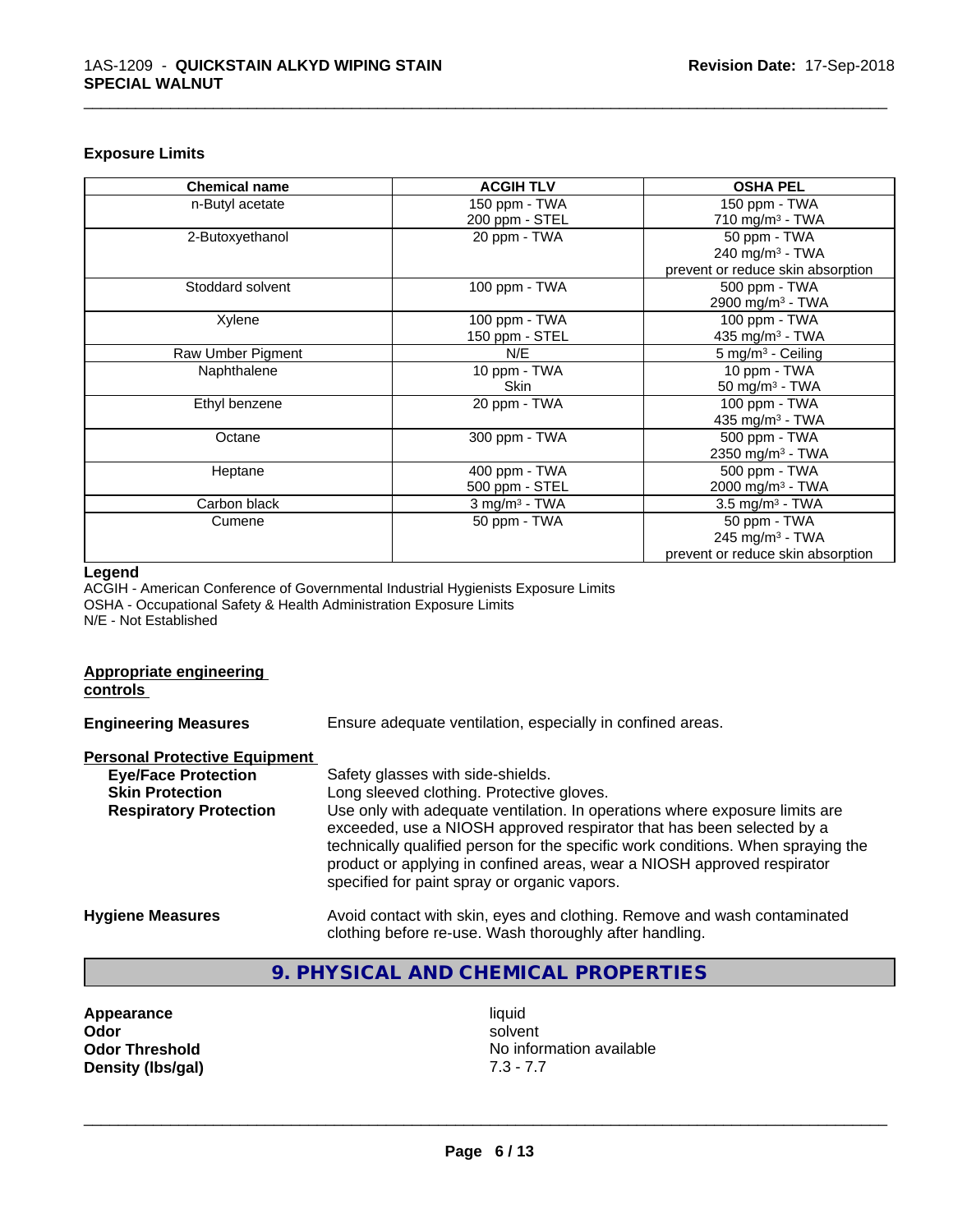#### **Exposure Limits**

| <b>Chemical name</b> | <b>ACGIH TLV</b>            | <b>OSHA PEL</b>                   |
|----------------------|-----------------------------|-----------------------------------|
| n-Butyl acetate      | 150 ppm - TWA               | 150 ppm - TWA                     |
|                      | 200 ppm - STEL              | 710 mg/m $3$ - TWA                |
| 2-Butoxyethanol      | 20 ppm - TWA                | 50 ppm - TWA                      |
|                      |                             | 240 mg/m <sup>3</sup> - TWA       |
|                      |                             | prevent or reduce skin absorption |
| Stoddard solvent     | 100 ppm - TWA               | 500 ppm - TWA                     |
|                      |                             | 2900 mg/m <sup>3</sup> - TWA      |
| Xylene               | 100 ppm - TWA               | 100 ppm - TWA                     |
|                      | 150 ppm - STEL              | 435 mg/m $3$ - TWA                |
| Raw Umber Pigment    | N/E                         | $5 \text{ mg/m}^3$ - Ceiling      |
| Naphthalene          | 10 ppm - TWA                | 10 ppm - TWA                      |
|                      | <b>Skin</b>                 | 50 mg/m $3$ - TWA                 |
| Ethyl benzene        | 20 ppm - TWA                | 100 ppm - TWA                     |
|                      |                             | 435 mg/m <sup>3</sup> - TWA       |
| Octane               | 300 ppm - TWA               | 500 ppm - TWA                     |
|                      |                             | 2350 mg/m <sup>3</sup> - TWA      |
| Heptane              | 400 ppm - TWA               | 500 ppm - TWA                     |
|                      | 500 ppm - STEL              | 2000 mg/m <sup>3</sup> - TWA      |
| Carbon black         | $3$ mg/m <sup>3</sup> - TWA | $3.5 \text{ mg/m}^3$ - TWA        |
| Cumene               | 50 ppm - TWA                | 50 ppm - TWA                      |
|                      |                             | 245 mg/m $3$ - TWA                |
|                      |                             | prevent or reduce skin absorption |

\_\_\_\_\_\_\_\_\_\_\_\_\_\_\_\_\_\_\_\_\_\_\_\_\_\_\_\_\_\_\_\_\_\_\_\_\_\_\_\_\_\_\_\_\_\_\_\_\_\_\_\_\_\_\_\_\_\_\_\_\_\_\_\_\_\_\_\_\_\_\_\_\_\_\_\_\_\_\_\_\_\_\_\_\_\_\_\_\_\_\_\_\_

#### **Legend**

**Appropriate engineering**

ACGIH - American Conference of Governmental Industrial Hygienists Exposure Limits OSHA - Occupational Safety & Health Administration Exposure Limits N/E - Not Established

# **controls Engineering Measures** Ensure adequate ventilation, especially in confined areas. **Personal Protective Equipment**<br> **Eye/Face Protection Eye/Face Protection**<br>
Safety glasses with side-shields.<br>
Skin Protection<br>
Long sleeved clothing. Protective Long sleeved clothing. Protective gloves. **Respiratory Protection** Use only with adequate ventilation. In operations where exposure limits are exceeded, use a NIOSH approved respirator that has been selected by a technically qualified person for the specific work conditions. When spraying the product or applying in confined areas, wear a NIOSH approved respirator specified for paint spray or organic vapors. **Hygiene Measures** Avoid contact with skin, eyes and clothing. Remove and wash contaminated clothing before re-use. Wash thoroughly after handling.

# **9. PHYSICAL AND CHEMICAL PROPERTIES**

| Appearance            |
|-----------------------|
| Odor                  |
| <b>Odor Threshold</b> |
| Density (Ibs/gal)     |

**Appearance** and the contract of the contract of the contract of the contract of the contract of the contract of the contract of the contract of the contract of the contract of the contract of the contract of the contract **Odor** solvent **No information available Density (lbs/gal)** 7.3 - 7.7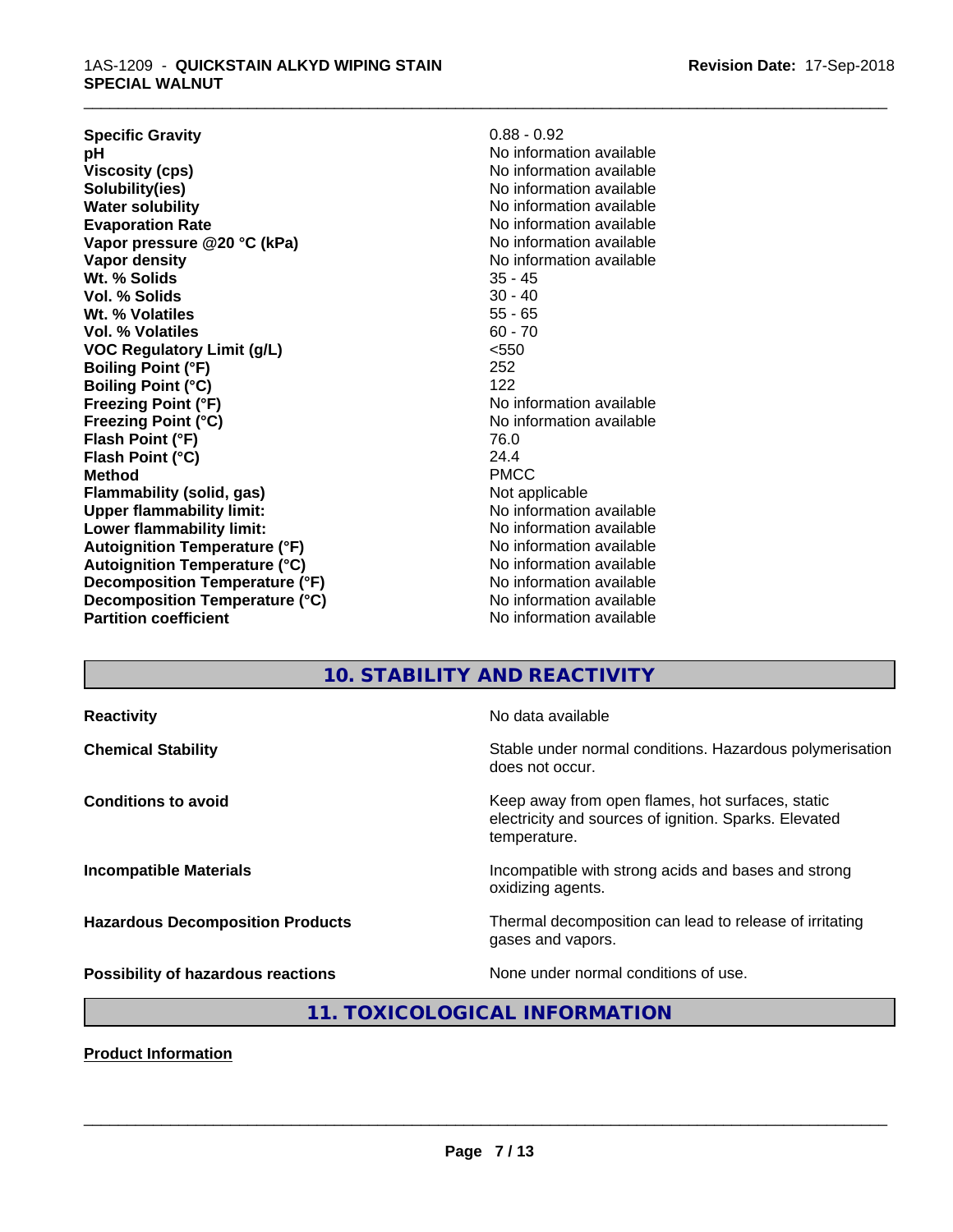#### 1AS-1209 - **QUICKSTAIN ALKYD WIPING STAIN SPECIAL WALNUT**

| $0.88 - 0.92$            |
|--------------------------|
| No information available |
| No information available |
| No information available |
| No information available |
| No information available |
| No information available |
| No information available |
| $35 - 45$                |
| $30 - 40$                |
| $55 - 65$                |
| $60 - 70$                |
| < 550                    |
| 252                      |
| 122                      |
| No information available |
| No information available |
| 76.0                     |
| 24.4                     |
| <b>PMCC</b>              |
| Not applicable           |
| No information available |
| No information available |
| No information available |
| No information available |
| No information available |
| No information available |
| No information available |
|                          |

# **10. STABILITY AND REACTIVITY**

\_\_\_\_\_\_\_\_\_\_\_\_\_\_\_\_\_\_\_\_\_\_\_\_\_\_\_\_\_\_\_\_\_\_\_\_\_\_\_\_\_\_\_\_\_\_\_\_\_\_\_\_\_\_\_\_\_\_\_\_\_\_\_\_\_\_\_\_\_\_\_\_\_\_\_\_\_\_\_\_\_\_\_\_\_\_\_\_\_\_\_\_\_

| <b>Reactivity</b>                         | No data available                                                                                                         |
|-------------------------------------------|---------------------------------------------------------------------------------------------------------------------------|
| <b>Chemical Stability</b>                 | Stable under normal conditions. Hazardous polymerisation<br>does not occur.                                               |
| <b>Conditions to avoid</b>                | Keep away from open flames, hot surfaces, static<br>electricity and sources of ignition. Sparks. Elevated<br>temperature. |
| <b>Incompatible Materials</b>             | Incompatible with strong acids and bases and strong<br>oxidizing agents.                                                  |
| <b>Hazardous Decomposition Products</b>   | Thermal decomposition can lead to release of irritating<br>gases and vapors.                                              |
| <b>Possibility of hazardous reactions</b> | None under normal conditions of use.                                                                                      |

# **11. TOXICOLOGICAL INFORMATION**

**Product Information**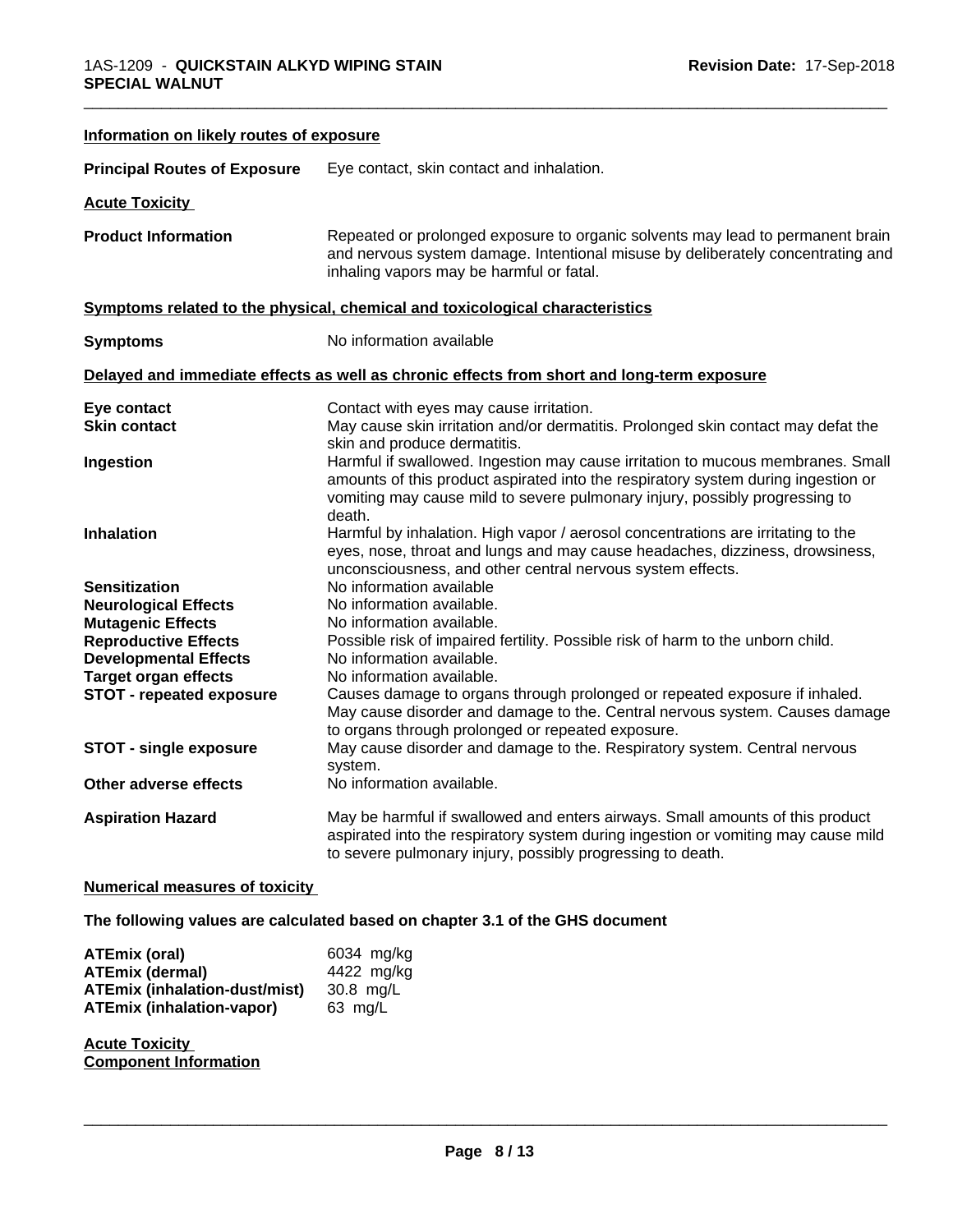| Information on likely routes of exposure                                                                                                                                                                                                          |                                                                                                                                                                                                                                                                                                                                                                                                                                                                                                                                |
|---------------------------------------------------------------------------------------------------------------------------------------------------------------------------------------------------------------------------------------------------|--------------------------------------------------------------------------------------------------------------------------------------------------------------------------------------------------------------------------------------------------------------------------------------------------------------------------------------------------------------------------------------------------------------------------------------------------------------------------------------------------------------------------------|
| <b>Principal Routes of Exposure</b>                                                                                                                                                                                                               | Eye contact, skin contact and inhalation.                                                                                                                                                                                                                                                                                                                                                                                                                                                                                      |
| <b>Acute Toxicity</b>                                                                                                                                                                                                                             |                                                                                                                                                                                                                                                                                                                                                                                                                                                                                                                                |
| <b>Product Information</b>                                                                                                                                                                                                                        | Repeated or prolonged exposure to organic solvents may lead to permanent brain<br>and nervous system damage. Intentional misuse by deliberately concentrating and<br>inhaling vapors may be harmful or fatal.                                                                                                                                                                                                                                                                                                                  |
|                                                                                                                                                                                                                                                   | Symptoms related to the physical, chemical and toxicological characteristics                                                                                                                                                                                                                                                                                                                                                                                                                                                   |
| <b>Symptoms</b>                                                                                                                                                                                                                                   | No information available                                                                                                                                                                                                                                                                                                                                                                                                                                                                                                       |
|                                                                                                                                                                                                                                                   | Delayed and immediate effects as well as chronic effects from short and long-term exposure                                                                                                                                                                                                                                                                                                                                                                                                                                     |
| Eye contact<br><b>Skin contact</b>                                                                                                                                                                                                                | Contact with eyes may cause irritation.<br>May cause skin irritation and/or dermatitis. Prolonged skin contact may defat the<br>skin and produce dermatitis.                                                                                                                                                                                                                                                                                                                                                                   |
| Ingestion                                                                                                                                                                                                                                         | Harmful if swallowed. Ingestion may cause irritation to mucous membranes. Small<br>amounts of this product aspirated into the respiratory system during ingestion or<br>vomiting may cause mild to severe pulmonary injury, possibly progressing to<br>death.                                                                                                                                                                                                                                                                  |
| <b>Inhalation</b>                                                                                                                                                                                                                                 | Harmful by inhalation. High vapor / aerosol concentrations are irritating to the<br>eyes, nose, throat and lungs and may cause headaches, dizziness, drowsiness,<br>unconsciousness, and other central nervous system effects.                                                                                                                                                                                                                                                                                                 |
| <b>Sensitization</b><br><b>Neurological Effects</b><br><b>Mutagenic Effects</b><br><b>Reproductive Effects</b><br><b>Developmental Effects</b><br><b>Target organ effects</b><br><b>STOT - repeated exposure</b><br><b>STOT - single exposure</b> | No information available<br>No information available.<br>No information available.<br>Possible risk of impaired fertility. Possible risk of harm to the unborn child.<br>No information available.<br>No information available.<br>Causes damage to organs through prolonged or repeated exposure if inhaled.<br>May cause disorder and damage to the. Central nervous system. Causes damage<br>to organs through prolonged or repeated exposure.<br>May cause disorder and damage to the. Respiratory system. Central nervous |
| Other adverse effects                                                                                                                                                                                                                             | system.<br>No information available.                                                                                                                                                                                                                                                                                                                                                                                                                                                                                           |
| <b>Aspiration Hazard</b>                                                                                                                                                                                                                          | May be harmful if swallowed and enters airways. Small amounts of this product<br>aspirated into the respiratory system during ingestion or vomiting may cause mild<br>to severe pulmonary injury, possibly progressing to death.                                                                                                                                                                                                                                                                                               |
| <b>Numerical measures of toxicity</b>                                                                                                                                                                                                             |                                                                                                                                                                                                                                                                                                                                                                                                                                                                                                                                |

\_\_\_\_\_\_\_\_\_\_\_\_\_\_\_\_\_\_\_\_\_\_\_\_\_\_\_\_\_\_\_\_\_\_\_\_\_\_\_\_\_\_\_\_\_\_\_\_\_\_\_\_\_\_\_\_\_\_\_\_\_\_\_\_\_\_\_\_\_\_\_\_\_\_\_\_\_\_\_\_\_\_\_\_\_\_\_\_\_\_\_\_\_

# **The following values are calculated based on chapter 3.1 of the GHS document**

| <b>ATEmix (oral)</b>                 | 6034 mg/kg |
|--------------------------------------|------------|
| <b>ATEmix (dermal)</b>               | 4422 mg/kg |
| <b>ATEmix (inhalation-dust/mist)</b> | 30.8 ma/L  |
| <b>ATEmix (inhalation-vapor)</b>     | 63 ma/L    |

**Acute Toxicity Component Information**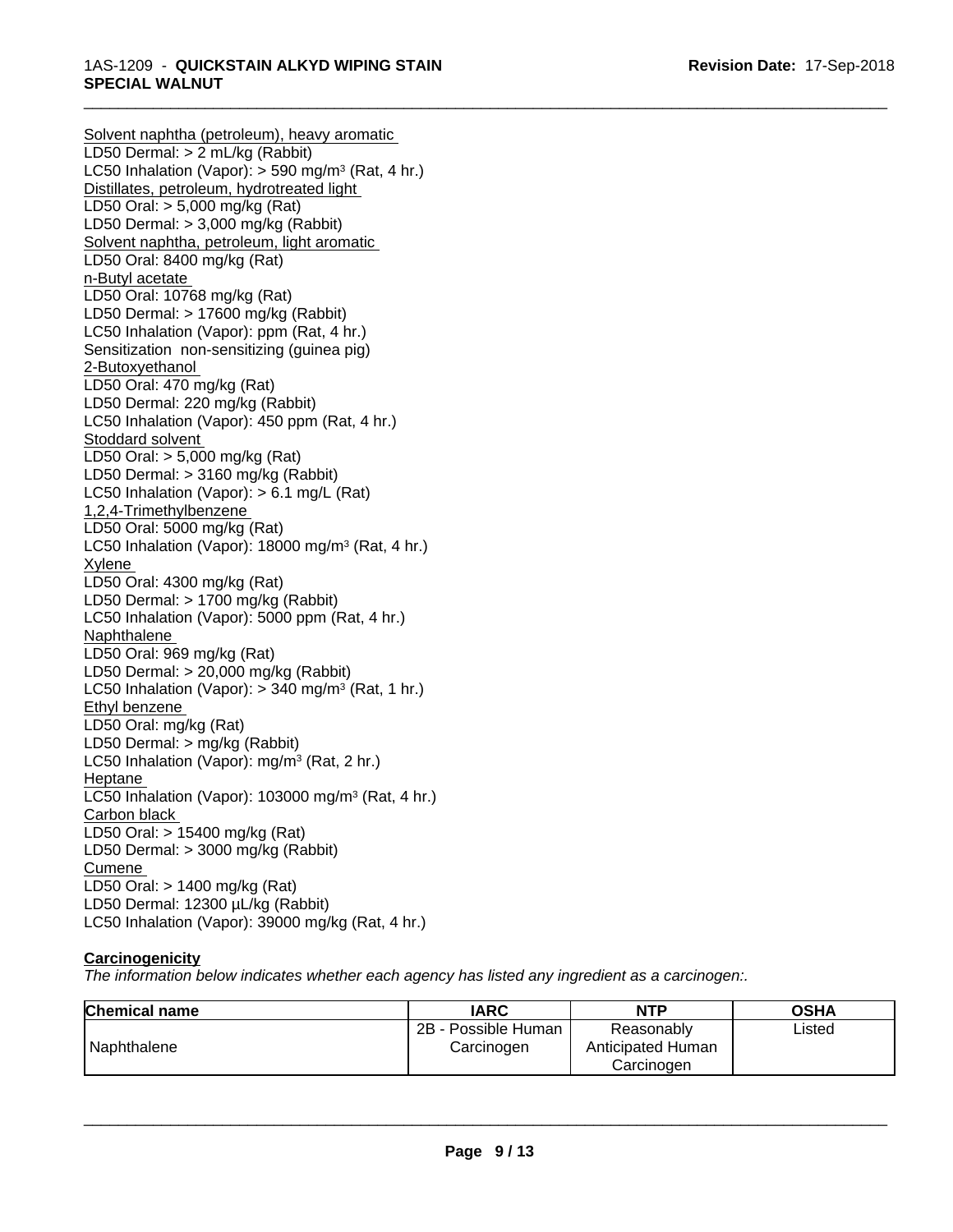\_\_\_\_\_\_\_\_\_\_\_\_\_\_\_\_\_\_\_\_\_\_\_\_\_\_\_\_\_\_\_\_\_\_\_\_\_\_\_\_\_\_\_\_\_\_\_\_\_\_\_\_\_\_\_\_\_\_\_\_\_\_\_\_\_\_\_\_\_\_\_\_\_\_\_\_\_\_\_\_\_\_\_\_\_\_\_\_\_\_\_\_\_

#### 1AS-1209 - **QUICKSTAIN ALKYD WIPING STAIN SPECIAL WALNUT**

Solvent naphtha (petroleum), heavy aromatic LD50 Dermal: > 2 mL/kg (Rabbit) LC50 Inhalation (Vapor): > 590 mg/m<sup>3</sup> (Rat, 4 hr.) Distillates, petroleum, hydrotreated light LD50 Oral: > 5,000 mg/kg (Rat) LD50 Dermal: > 3,000 mg/kg (Rabbit) Solvent naphtha, petroleum, light aromatic LD50 Oral: 8400 mg/kg (Rat) n-Butyl acetate LD50 Oral: 10768 mg/kg (Rat) LD50 Dermal: > 17600 mg/kg (Rabbit) LC50 Inhalation (Vapor): ppm (Rat, 4 hr.) Sensitization non-sensitizing (guinea pig) 2-Butoxyethanol LD50 Oral: 470 mg/kg (Rat) LD50 Dermal: 220 mg/kg (Rabbit) LC50 Inhalation (Vapor): 450 ppm (Rat, 4 hr.) Stoddard solvent LD50 Oral: > 5,000 mg/kg (Rat) LD50 Dermal: > 3160 mg/kg (Rabbit) LC50 Inhalation (Vapor): > 6.1 mg/L (Rat) 1,2,4-Trimethylbenzene LD50 Oral: 5000 mg/kg (Rat) LC50 Inhalation (Vapor): 18000 mg/m<sup>3</sup> (Rat, 4 hr.) Xylene LD50 Oral: 4300 mg/kg (Rat) LD50 Dermal: > 1700 mg/kg (Rabbit) LC50 Inhalation (Vapor): 5000 ppm (Rat, 4 hr.) Naphthalene LD50 Oral: 969 mg/kg (Rat) LD50 Dermal: > 20,000 mg/kg (Rabbit) LC50 Inhalation (Vapor): > 340 mg/m<sup>3</sup> (Rat, 1 hr.) Ethyl benzene LD50 Oral: mg/kg (Rat) LD50 Dermal: > mg/kg (Rabbit) LC50 Inhalation (Vapor): mg/m<sup>3</sup> (Rat, 2 hr.) Heptane LC50 Inhalation (Vapor): 103000 mg/m<sup>3</sup> (Rat, 4 hr.) Carbon black LD50 Oral: > 15400 mg/kg (Rat) LD50 Dermal: > 3000 mg/kg (Rabbit) Cumene LD50 Oral: > 1400 mg/kg (Rat) LD50 Dermal: 12300 µL/kg (Rabbit) LC50 Inhalation (Vapor): 39000 mg/kg (Rat, 4 hr.)

# **Carcinogenicity**

*The information below indicateswhether each agency has listed any ingredient as a carcinogen:.*

| <b>Chemical name</b> | <b>IARC</b>                       | NTP                                           | <b>OSHA</b> |
|----------------------|-----------------------------------|-----------------------------------------------|-------------|
| Naphthalene          | 2B - Possible Human<br>Carcinogen | Reasonably<br>Anticipated Human<br>Carcinoɑen | Listed      |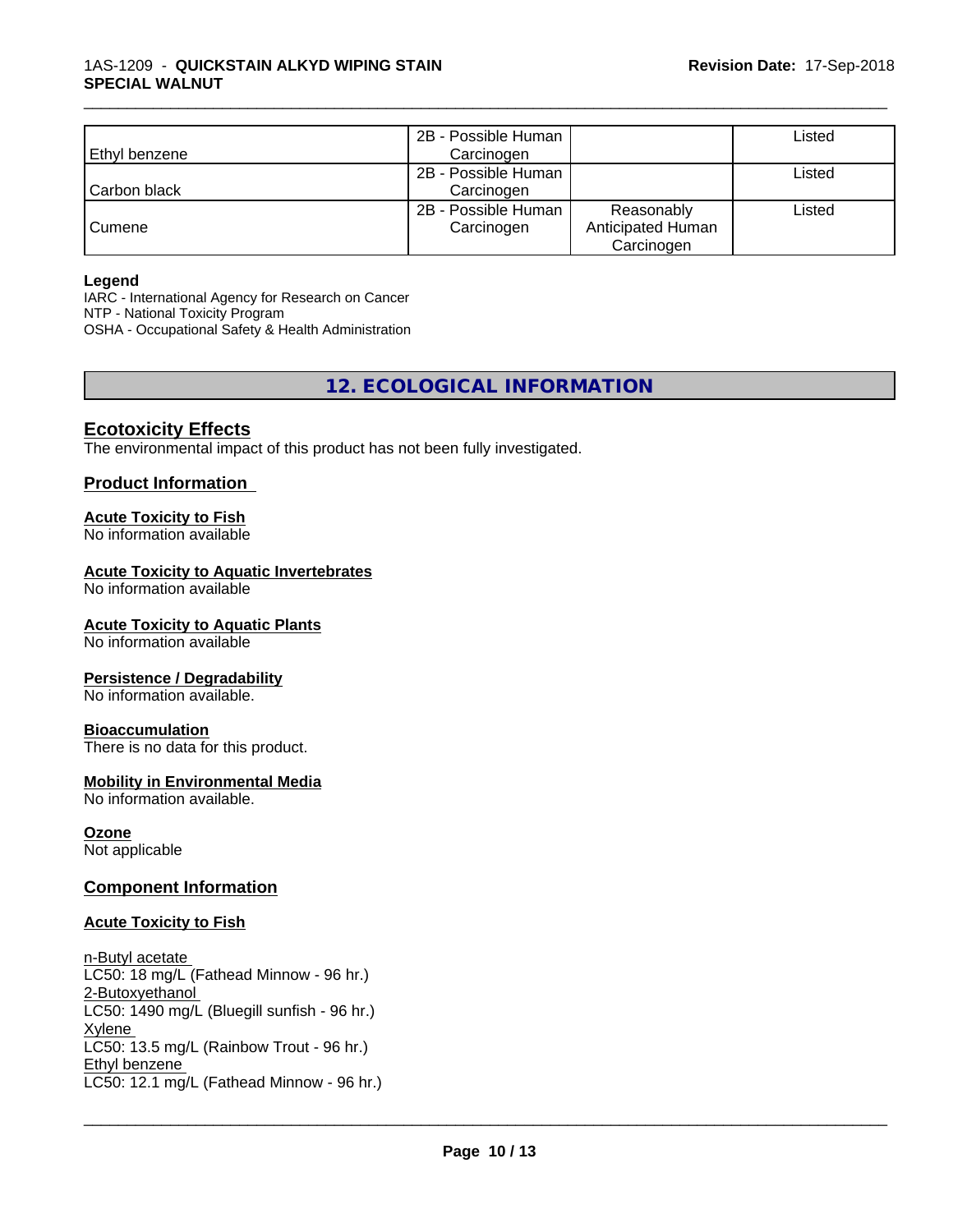|                | 2B - Possible Human |                   | Listed |
|----------------|---------------------|-------------------|--------|
| Ethyl benzene  | Carcinogen          |                   |        |
|                | 2B - Possible Human |                   | ∟isted |
| l Carbon black | Carcinogen          |                   |        |
|                | 2B - Possible Human | Reasonably        | Listed |
| Cumene         | Carcinogen          | Anticipated Human |        |
|                |                     | Carcinogen        |        |

\_\_\_\_\_\_\_\_\_\_\_\_\_\_\_\_\_\_\_\_\_\_\_\_\_\_\_\_\_\_\_\_\_\_\_\_\_\_\_\_\_\_\_\_\_\_\_\_\_\_\_\_\_\_\_\_\_\_\_\_\_\_\_\_\_\_\_\_\_\_\_\_\_\_\_\_\_\_\_\_\_\_\_\_\_\_\_\_\_\_\_\_\_

#### **Legend**

IARC - International Agency for Research on Cancer NTP - National Toxicity Program OSHA - Occupational Safety & Health Administration

# **12. ECOLOGICAL INFORMATION**

### **Ecotoxicity Effects**

The environmental impact of this product has not been fully investigated.

#### **Product Information**

#### **Acute Toxicity to Fish**

No information available

#### **Acute Toxicity to Aquatic Invertebrates**

No information available

#### **Acute Toxicity to Aquatic Plants**

No information available

#### **Persistence / Degradability**

No information available.

#### **Bioaccumulation**

There is no data for this product.

#### **Mobility in Environmental Media**

No information available.

#### **Ozone**

Not applicable

#### **Component Information**

#### **Acute Toxicity to Fish**

n-Butyl acetate LC50: 18 mg/L (Fathead Minnow - 96 hr.) 2-Butoxyethanol LC50: 1490 mg/L (Bluegill sunfish - 96 hr.) Xylene LC50: 13.5 mg/L (Rainbow Trout - 96 hr.) Ethyl benzene \_\_\_\_\_\_\_\_\_\_\_\_\_\_\_\_\_\_\_\_\_\_\_\_\_\_\_\_\_\_\_\_\_\_\_\_\_\_\_\_\_\_\_\_\_\_\_\_\_\_\_\_\_\_\_\_\_\_\_\_\_\_\_\_\_\_\_\_\_\_\_\_\_\_\_\_\_\_\_\_\_\_\_\_\_\_\_\_\_\_\_\_\_ LC50: 12.1 mg/L (Fathead Minnow - 96 hr.)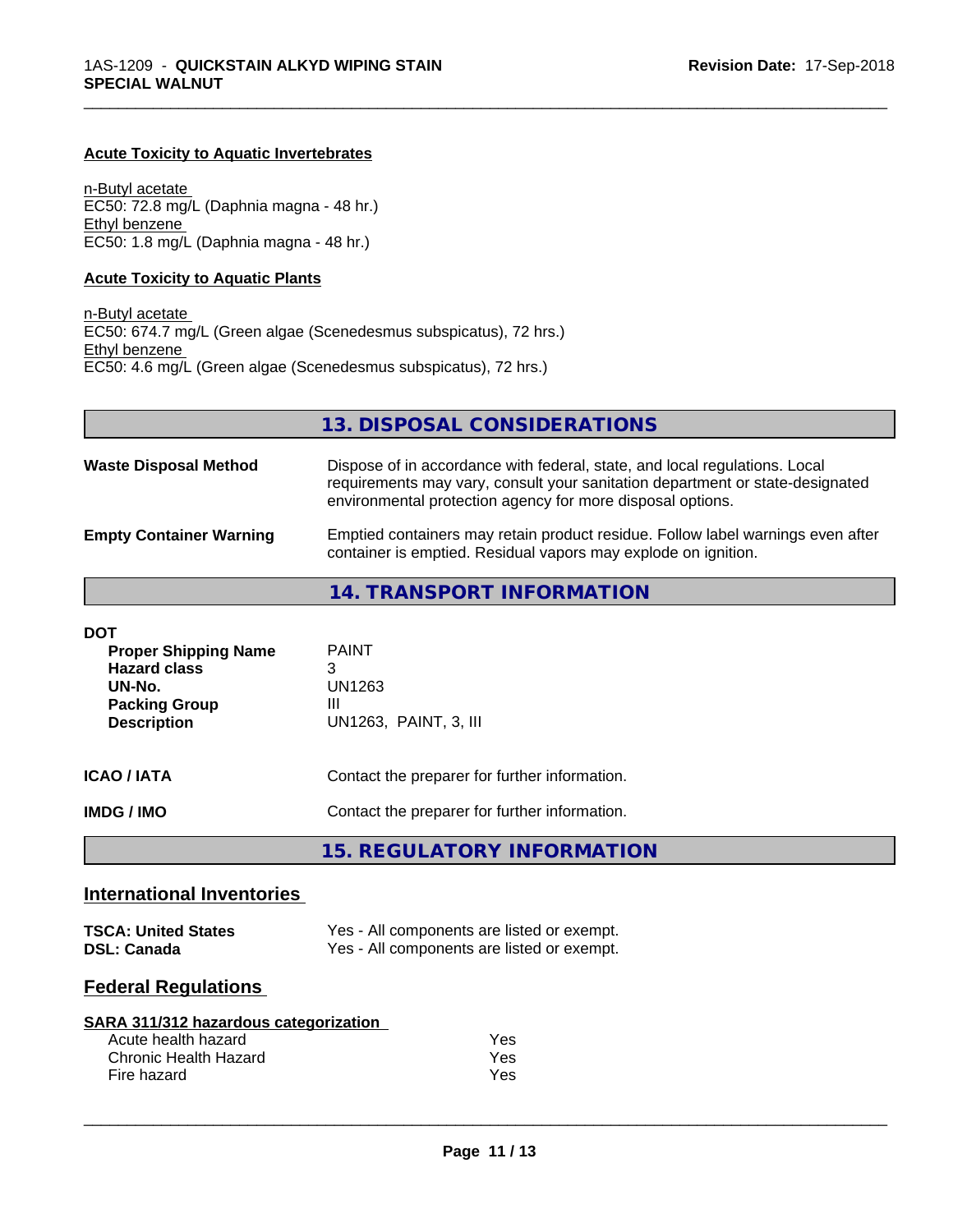#### **Acute Toxicity to Aquatic Invertebrates**

n-Butyl acetate EC50: 72.8 mg/L (Daphnia magna - 48 hr.) Ethyl benzene EC50: 1.8 mg/L (Daphnia magna - 48 hr.)

#### **Acute Toxicity to Aquatic Plants**

n-Butyl acetate EC50: 674.7 mg/L (Green algae (Scenedesmus subspicatus), 72 hrs.) Ethyl benzene EC50: 4.6 mg/L (Green algae (Scenedesmus subspicatus), 72 hrs.)

**13. DISPOSAL CONSIDERATIONS**

\_\_\_\_\_\_\_\_\_\_\_\_\_\_\_\_\_\_\_\_\_\_\_\_\_\_\_\_\_\_\_\_\_\_\_\_\_\_\_\_\_\_\_\_\_\_\_\_\_\_\_\_\_\_\_\_\_\_\_\_\_\_\_\_\_\_\_\_\_\_\_\_\_\_\_\_\_\_\_\_\_\_\_\_\_\_\_\_\_\_\_\_\_

| <b>Waste Disposal Method</b>   | Dispose of in accordance with federal, state, and local regulations. Local<br>requirements may vary, consult your sanitation department or state-designated<br>environmental protection agency for more disposal options. |
|--------------------------------|---------------------------------------------------------------------------------------------------------------------------------------------------------------------------------------------------------------------------|
| <b>Empty Container Warning</b> | Emptied containers may retain product residue. Follow label warnings even after<br>container is emptied. Residual vapors may explode on ignition.                                                                         |

**14. TRANSPORT INFORMATION**

### **International Inventories**

| <b>TSCA: United States</b> | Yes - All components are listed or exempt. |
|----------------------------|--------------------------------------------|
| <b>DSL: Canada</b>         | Yes - All components are listed or exempt. |

# **Federal Regulations**

| SARA 311/312 hazardous categorization |  |
|---------------------------------------|--|
|                                       |  |

| Acute health hazard   | Yes |  |
|-----------------------|-----|--|
| Chronic Health Hazard | Yes |  |
| Fire hazard           | Yes |  |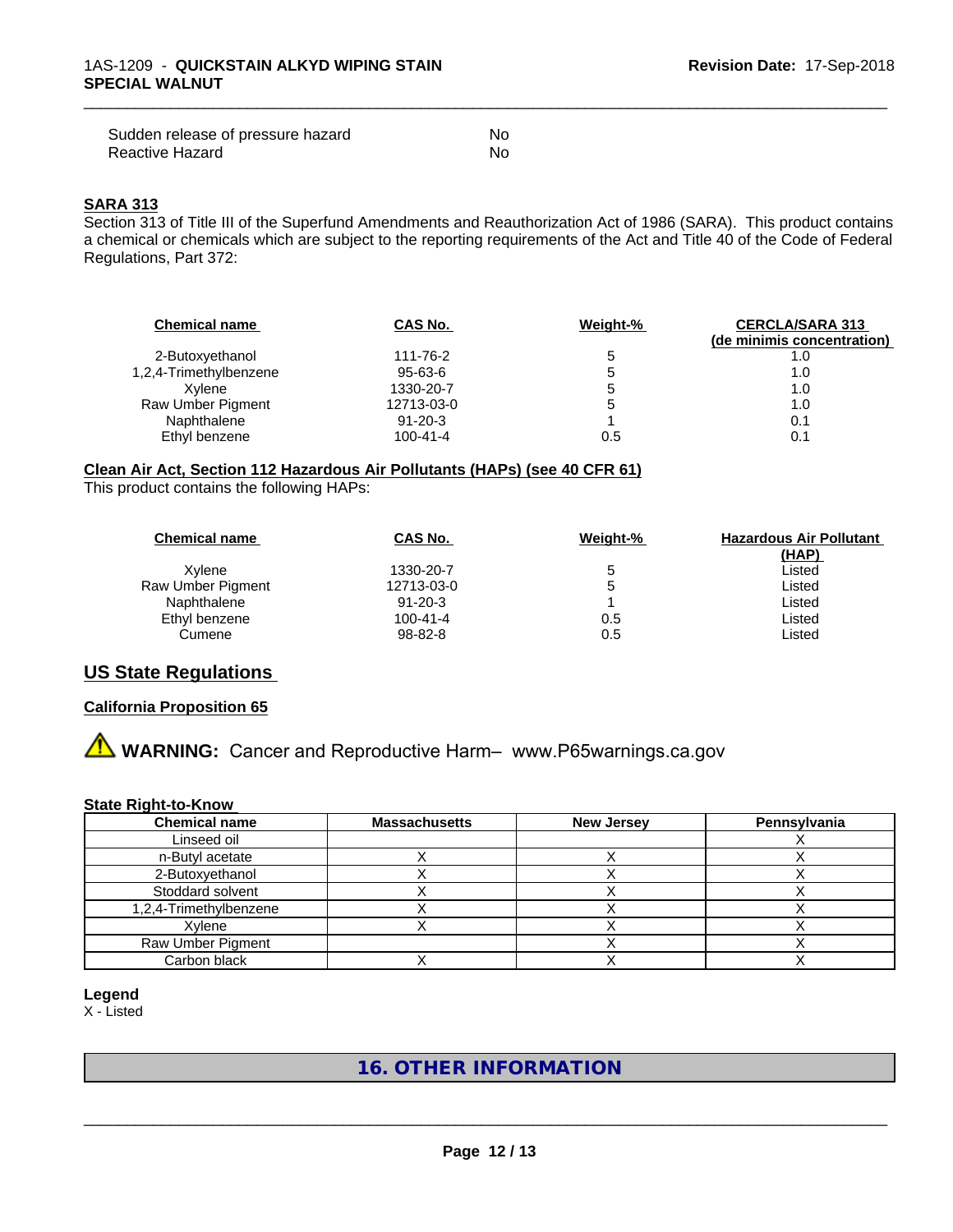| Sudden release of pressure hazard | No |
|-----------------------------------|----|
| Reactive Hazard                   | No |

#### **SARA 313**

Section 313 of Title III of the Superfund Amendments and Reauthorization Act of 1986 (SARA). This product contains a chemical or chemicals which are subject to the reporting requirements of the Act and Title 40 of the Code of Federal Regulations, Part 372:

\_\_\_\_\_\_\_\_\_\_\_\_\_\_\_\_\_\_\_\_\_\_\_\_\_\_\_\_\_\_\_\_\_\_\_\_\_\_\_\_\_\_\_\_\_\_\_\_\_\_\_\_\_\_\_\_\_\_\_\_\_\_\_\_\_\_\_\_\_\_\_\_\_\_\_\_\_\_\_\_\_\_\_\_\_\_\_\_\_\_\_\_\_

| <b>Chemical name</b>   | CAS No.        | Weight-% | <b>CERCLA/SARA 313</b><br>(de minimis concentration) |
|------------------------|----------------|----------|------------------------------------------------------|
| 2-Butoxyethanol        | 111-76-2       | 5        | 1.0                                                  |
| 1,2,4-Trimethylbenzene | 95-63-6        | '5       | 1.0                                                  |
| Xvlene                 | 1330-20-7      | э        | 1.0                                                  |
| Raw Umber Pigment      | 12713-03-0     | b        | 1.0                                                  |
| Naphthalene            | $91 - 20 - 3$  |          | 0.1                                                  |
| Ethyl benzene          | $100 - 41 - 4$ | 0.5      | 0.1                                                  |

#### **Clean Air Act,Section 112 Hazardous Air Pollutants (HAPs) (see 40 CFR 61)**

This product contains the following HAPs:

| CAS No.       | Weight-% | <b>Hazardous Air Pollutant</b><br>(HAP) |
|---------------|----------|-----------------------------------------|
| 1330-20-7     | b        | Listed                                  |
| 12713-03-0    | G        | Listed                                  |
| $91 - 20 - 3$ |          | Listed                                  |
| 100-41-4      | 0.5      | Listed                                  |
| 98-82-8       | 0.5      | Listed                                  |
|               |          |                                         |

# **US State Regulations**

#### **California Proposition 65**

**A WARNING:** Cancer and Reproductive Harm– www.P65warnings.ca.gov

#### **State Right-to-Know**

| <b>Chemical name</b>   | <b>Massachusetts</b> | <b>New Jersey</b> | Pennsylvania |
|------------------------|----------------------|-------------------|--------------|
| Linseed oil            |                      |                   |              |
| n-Butyl acetate        |                      |                   |              |
| 2-Butoxyethanol        |                      |                   |              |
| Stoddard solvent       |                      |                   |              |
| 1,2,4-Trimethylbenzene |                      |                   |              |
| Xvlene                 |                      |                   |              |
| Raw Umber Pigment      |                      |                   |              |
| Carbon black           |                      |                   |              |

**Legend**

X - Listed

# **16. OTHER INFORMATION**